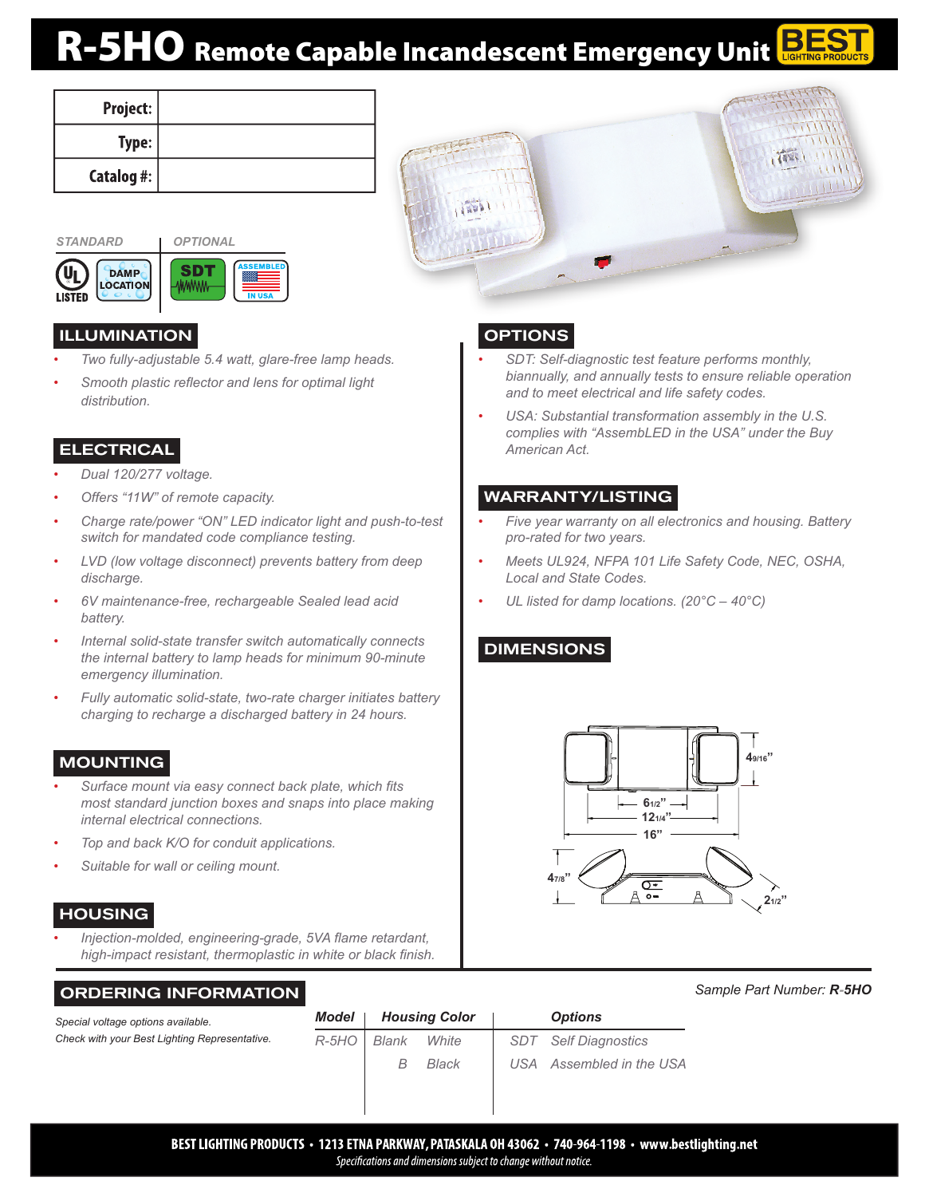# R-5HO Remote Capable Incandescent Emergency Unit

 $1500$ 

| Project:       |  |
|----------------|--|
| Type:          |  |
| Catalog #: $ $ |  |



| <b>DAMP</b><br><b>LOCATION</b><br>FN |  | <b>ASSEMBLI</b><br><b>IN USA</b> |
|--------------------------------------|--|----------------------------------|
|--------------------------------------|--|----------------------------------|

# ILLUMINATION

- *• Two fully-adjustable 5.4 watt, glare-free lamp heads.*
- *• Smooth plastic reflector and lens for optimal light distribution.*

# **ELECTRICAL**

- *• Dual 120/277 voltage.*
- *• Offers "11W" of remote capacity.*
- *• Charge rate/power "ON" LED indicator light and push-to-test switch for mandated code compliance testing.*
- *• LVD (low voltage disconnect) prevents battery from deep discharge.*
- *• 6V maintenance-free, rechargeable Sealed lead acid battery.*
- *• Internal solid-state transfer switch automatically connects the internal battery to lamp heads for minimum 90-minute emergency illumination.*
- *• Fully automatic solid-state, two-rate charger initiates battery charging to recharge a discharged battery in 24 hours.*

# **MOUNTING**

- *• Surface mount via easy connect back plate, which fits most standard junction boxes and snaps into place making internal electrical connections.*
- *• Top and back K/O for conduit applications.*
- *• Suitable for wall or ceiling mount.*

# **HOUSING**

*• Injection-molded, engineering-grade, 5VA flame retardant, high-impact resistant, thermoplastic in white or black finish.*

# ORDERING INFORMATION

*Special voltage options available. Check with your Best Lighting Representative.*

| Model   |       | <b>Housing Color</b> | <b>Options</b>              |
|---------|-------|----------------------|-----------------------------|
| $R-5HO$ | Blank | White                | <b>SDT</b> Self Diagnostics |
|         | B     | Black                | USA Assembled in the USA    |
|         |       |                      |                             |



- *• SDT: Self-diagnostic test feature performs monthly, biannually, and annually tests to ensure reliable operation and to meet electrical and life safety codes.*
- *• USA: Substantial transformation assembly in the U.S. complies with "AssembLED in the USA" under the Buy American Act.*

#### WARRANTY/LISTING

- *• Five year warranty on all electronics and housing. Battery pro-rated for two years.*
- *• Meets UL924, NFPA 101 Life Safety Code, NEC, OSHA, Local and State Codes.*
- *• UL listed for damp locations. (20°C 40°C)*

# DIMENSIONS



# *Sample Part Number: R-5HO*

BEST LIGHTING PRODUCTS · 1213 ETNA PARKWAY, PATASKALA OH 43062 · 740-964-1198 · www.bestlighting.net Specifications and dimensions subject to change without notice.